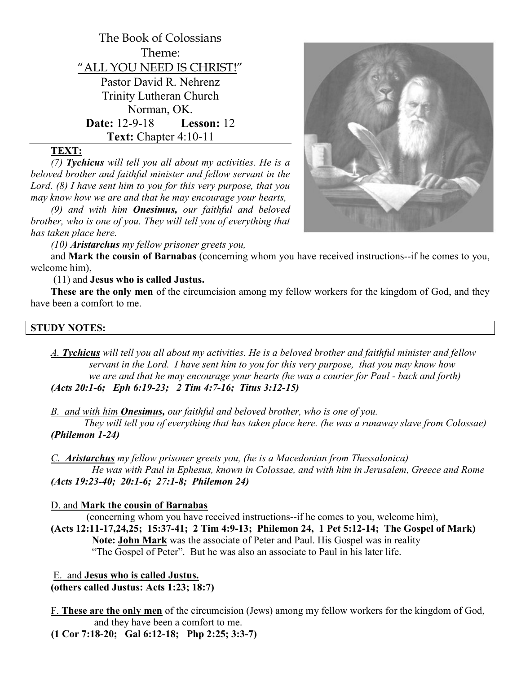

# TEXT:

(7) Tychicus will tell you all about my activities. He is a beloved brother and faithful minister and fellow servant in the Lord. (8) I have sent him to you for this very purpose, that you may know how we are and that he may encourage your hearts,

 $(9)$  and with him **Onesimus**, our faithful and beloved brother, who is one of you. They will tell you of everything that has taken place here.

(10) Aristarchus my fellow prisoner greets you,

and Mark the cousin of Barnabas (concerning whom you have received instructions--if he comes to you, welcome him),

(11) and Jesus who is called Justus.

These are the only men of the circumcision among my fellow workers for the kingdom of God, and they have been a comfort to me.

#### STUDY NOTES:

A. Tychicus will tell you all about my activities. He is a beloved brother and faithful minister and fellow servant in the Lord. I have sent him to you for this very purpose, that you may know how we are and that he may encourage your hearts (he was a courier for Paul - back and forth) (Acts 20:1-6; Eph 6:19-23; 2 Tim 4:7-16; Titus 3:12-15)

B. and with him **Onesimus**, our faithful and beloved brother, who is one of you.

 They will tell you of everything that has taken place here. (he was a runaway slave from Colossae) (Philemon 1-24)

C. Aristarchus my fellow prisoner greets you, (he is a Macedonian from Thessalonica) He was with Paul in Ephesus, known in Colossae, and with him in Jerusalem, Greece and Rome (Acts 19:23-40; 20:1-6; 27:1-8; Philemon 24)

## D. and Mark the cousin of Barnabas

 (concerning whom you have received instructions--if he comes to you, welcome him), (Acts 12:11-17,24,25; 15:37-41; 2 Tim 4:9-13; Philemon 24, 1 Pet 5:12-14; The Gospel of Mark) Note: John Mark was the associate of Peter and Paul. His Gospel was in reality "The Gospel of Peter". But he was also an associate to Paul in his later life.

 E. and Jesus who is called Justus. (others called Justus: Acts 1:23; 18:7)

F. These are the only men of the circumcision (Jews) among my fellow workers for the kingdom of God, and they have been a comfort to me.

(1 Cor 7:18-20; Gal 6:12-18; Php 2:25; 3:3-7)